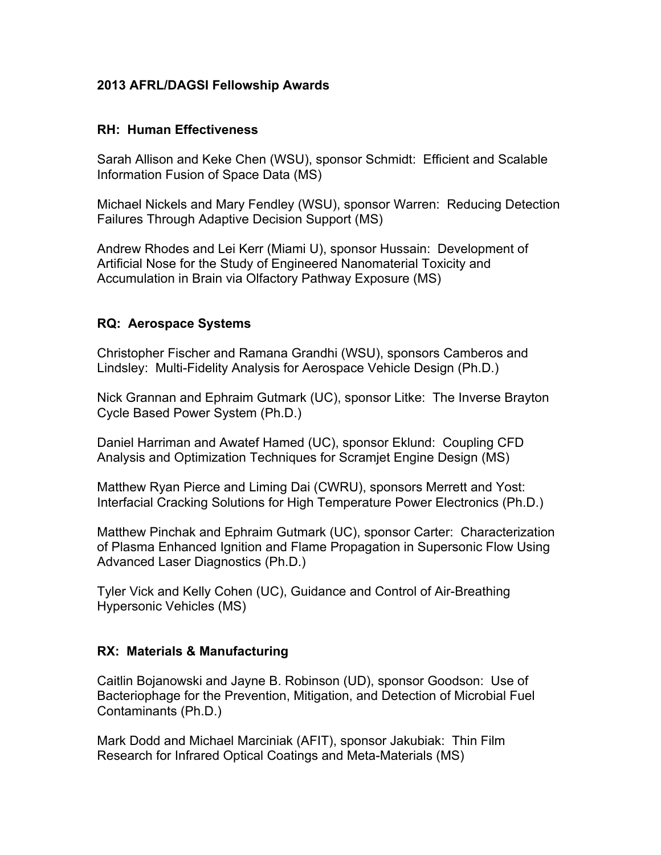#### **2013 AFRL/DAGSI Fellowship Awards**

#### **RH: Human Effectiveness**

Sarah Allison and Keke Chen (WSU), sponsor Schmidt: Efficient and Scalable Information Fusion of Space Data (MS)

Michael Nickels and Mary Fendley (WSU), sponsor Warren: Reducing Detection Failures Through Adaptive Decision Support (MS)

Andrew Rhodes and Lei Kerr (Miami U), sponsor Hussain: Development of Artificial Nose for the Study of Engineered Nanomaterial Toxicity and Accumulation in Brain via Olfactory Pathway Exposure (MS)

## **RQ: Aerospace Systems**

Christopher Fischer and Ramana Grandhi (WSU), sponsors Camberos and Lindsley: Multi-Fidelity Analysis for Aerospace Vehicle Design (Ph.D.)

Nick Grannan and Ephraim Gutmark (UC), sponsor Litke: The Inverse Brayton Cycle Based Power System (Ph.D.)

Daniel Harriman and Awatef Hamed (UC), sponsor Eklund: Coupling CFD Analysis and Optimization Techniques for Scramjet Engine Design (MS)

Matthew Ryan Pierce and Liming Dai (CWRU), sponsors Merrett and Yost: Interfacial Cracking Solutions for High Temperature Power Electronics (Ph.D.)

Matthew Pinchak and Ephraim Gutmark (UC), sponsor Carter: Characterization of Plasma Enhanced Ignition and Flame Propagation in Supersonic Flow Using Advanced Laser Diagnostics (Ph.D.)

Tyler Vick and Kelly Cohen (UC), Guidance and Control of Air-Breathing Hypersonic Vehicles (MS)

## **RX: Materials & Manufacturing**

Caitlin Bojanowski and Jayne B. Robinson (UD), sponsor Goodson: Use of Bacteriophage for the Prevention, Mitigation, and Detection of Microbial Fuel Contaminants (Ph.D.)

Mark Dodd and Michael Marciniak (AFIT), sponsor Jakubiak: Thin Film Research for Infrared Optical Coatings and Meta-Materials (MS)